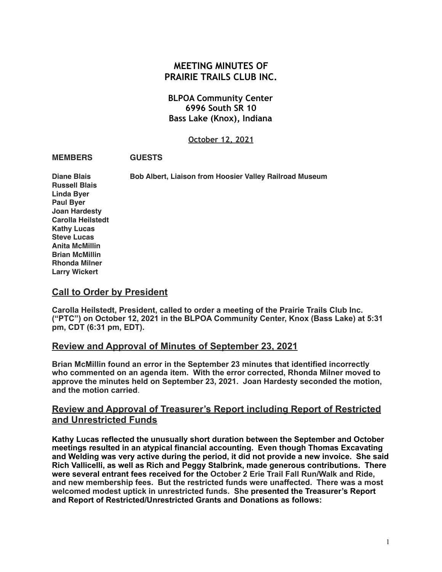# **MEETING MINUTES OF PRAIRIE TRAILS CLUB INC.**

## **BLPOA Community Center 6996 South SR 10 Bass Lake (Knox), Indiana**

#### **October 12, 2021**

#### **MEMBERS GUESTS**

**Diane Blais Bob Albert, Liaison from Hoosier Valley Railroad Museum**

**Russell Blais Linda Byer Paul Byer Joan Hardesty Carolla Heilstedt Kathy Lucas Steve Lucas Anita McMillin Brian McMillin Rhonda Milner Larry Wickert**

## **Call to Order by President**

**Carolla Heilstedt, President, called to order a meeting of the Prairie Trails Club Inc. ("PTC") on October 12, 2021 in the BLPOA Community Center, Knox (Bass Lake) at 5:31 pm, CDT (6:31 pm, EDT).** 

## **Review and Approval of Minutes of September 23, 2021**

**Brian McMillin found an error in the September 23 minutes that identified incorrectly who commented on an agenda item. With the error corrected, Rhonda Milner moved to approve the minutes held on September 23, 2021. Joan Hardesty seconded the motion, and the motion carried**.

## **Review and Approval of Treasurer's Report including Report of Restricted and Unrestricted Funds**

**Kathy Lucas reflected the unusually short duration between the September and October meetings resulted in an atypical financial accounting. Even though Thomas Excavating and Welding was very active during the period, it did not provide a new invoice. She said Rich Vallicelli, as well as Rich and Peggy Stalbrink, made generous contributions. There were several entrant fees received for the October 2 Erie Trail Fall Run/Walk and Ride, and new membership fees. But the restricted funds were unaffected. There was a most welcomed modest uptick in unrestricted funds. She presented the Treasurer's Report and Report of Restricted/Unrestricted Grants and Donations as follows:**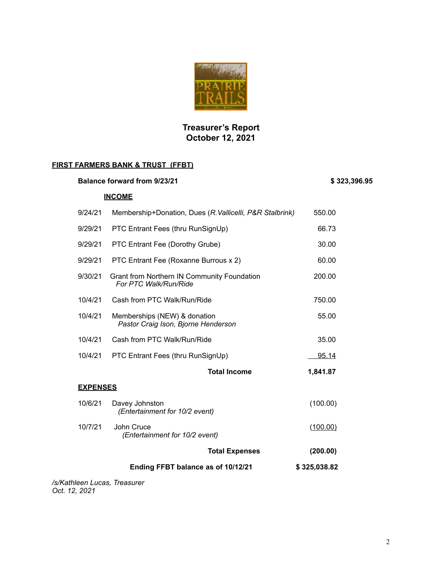

# **Treasurer's Report October 12, 2021**

## **FIRST FARMERS BANK & TRUST (FFBT)**

| <b>Balance forward from 9/23/21</b> | \$323,396.95                                                         |              |  |  |  |
|-------------------------------------|----------------------------------------------------------------------|--------------|--|--|--|
|                                     | <b>INCOME</b>                                                        |              |  |  |  |
| 9/24/21                             | Membership+Donation, Dues (R. Vallicelli, P&R Stalbrink)             | 550.00       |  |  |  |
| 9/29/21                             | PTC Entrant Fees (thru RunSignUp)                                    | 66.73        |  |  |  |
| 9/29/21                             | PTC Entrant Fee (Dorothy Grube)                                      | 30.00        |  |  |  |
| 9/29/21                             | PTC Entrant Fee (Roxanne Burrous x 2)                                | 60.00        |  |  |  |
| 9/30/21                             | Grant from Northern IN Community Foundation<br>For PTC Walk/Run/Ride | 200.00       |  |  |  |
| 10/4/21                             | Cash from PTC Walk/Run/Ride                                          | 750.00       |  |  |  |
| 10/4/21                             | Memberships (NEW) & donation<br>Pastor Craig Ison, Bjorne Henderson  | 55.00        |  |  |  |
| 10/4/21                             | Cash from PTC Walk/Run/Ride                                          | 35.00        |  |  |  |
| 10/4/21                             | PTC Entrant Fees (thru RunSignUp)                                    | <u>95.14</u> |  |  |  |
|                                     | <b>Total Income</b>                                                  | 1,841.87     |  |  |  |
| <b>EXPENSES</b>                     |                                                                      |              |  |  |  |
| 10/6/21                             | Davey Johnston<br>(Entertainment for 10/2 event)                     | (100.00)     |  |  |  |
| 10/7/21                             | John Cruce<br>(Entertainment for 10/2 event)                         | (100.00)     |  |  |  |
|                                     | <b>Total Expenses</b>                                                | (200.00)     |  |  |  |
|                                     | Ending FFBT balance as of 10/12/21                                   | \$325,038.82 |  |  |  |
| /s/Kathleen Lucas, Treasurer        |                                                                      |              |  |  |  |

*Oct. 12, 2021*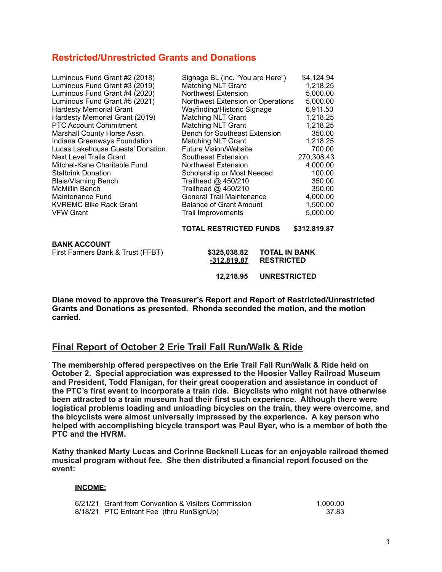## **Restricted/Unrestricted Grants and Donations**

| Luminous Fund Grant #2 (2018)     | Signage BL (inc. "You are Here")     | \$4,124.94   |
|-----------------------------------|--------------------------------------|--------------|
| Luminous Fund Grant #3 (2019)     | <b>Matching NLT Grant</b>            | 1,218.25     |
| Luminous Fund Grant #4 (2020)     | <b>Northwest Extension</b>           | 5,000.00     |
| Luminous Fund Grant #5 (2021)     | Northwest Extension or Operations    | 5,000.00     |
| <b>Hardesty Memorial Grant</b>    | Wayfinding/Historic Signage          | 6,911.50     |
| Hardesty Memorial Grant (2019)    | <b>Matching NLT Grant</b>            | 1,218.25     |
| <b>PTC Account Commitment</b>     | <b>Matching NLT Grant</b>            | 1,218.25     |
| Marshall County Horse Assn.       | <b>Bench for Southeast Extension</b> | 350.00       |
| Indiana Greenways Foundation      | <b>Matching NLT Grant</b>            | 1,218.25     |
| Lucas Lakehouse Guests' Donation  | <b>Future Vision/Website</b>         | 700.00       |
| <b>Next Level Trails Grant</b>    | Southeast Extension                  | 270,308.43   |
| Mitchel-Kane Charitable Fund      | Northwest Extension                  | 4,000.00     |
| <b>Stalbrink Donation</b>         | Scholarship or Most Needed           | 100.00       |
| <b>Blais/Vlaming Bench</b>        | Trailhead @ 450/210                  | 350.00       |
| <b>McMillin Bench</b>             | Trailhead @ 450/210                  | 350.00       |
| Maintenance Fund                  | <b>General Trail Maintenance</b>     | 4,000.00     |
| <b>KVREMC Bike Rack Grant</b>     | <b>Balance of Grant Amount</b>       | 1,500.00     |
| <b>VFW Grant</b>                  | <b>Trail Improvements</b>            | 5,000.00     |
|                                   |                                      |              |
|                                   | <b>TOTAL RESTRICTED FUNDS</b>        | \$312.819.87 |
| <b>BANK ACCOUNT</b>               |                                      |              |
| First Farmers Bank & Trust (FFBT) | \$325,038.82<br><b>TOTAL IN BANK</b> |              |
|                                   | <b>RESTRICTED</b><br>-312,819.87     |              |
|                                   |                                      |              |
|                                   | <b>UNRESTRICTED</b><br>12,218.95     |              |

**Diane moved to approve the Treasurer's Report and Report of Restricted/Unrestricted Grants and Donations as presented. Rhonda seconded the motion, and the motion carried.**

## **Final Report of October 2 Erie Trail Fall Run/Walk & Ride**

**The membership offered perspectives on the Erie Trail Fall Run/Walk & Ride held on October 2. Special appreciation was expressed to the Hoosier Valley Railroad Museum and President, Todd Flanigan, for their great cooperation and assistance in conduct of the PTC's first event to incorporate a train ride. Bicyclists who might not have otherwise been attracted to a train museum had their first such experience. Although there were logistical problems loading and unloading bicycles on the train, they were overcome, and the bicyclists were almost universally impressed by the experience. A key person who helped with accomplishing bicycle transport was Paul Byer, who is a member of both the PTC and the HVRM.** 

**Kathy thanked Marty Lucas and Corinne Becknell Lucas for an enjoyable railroad themed musical program without fee. She then distributed a financial report focused on the event:** 

#### **INCOME:**

6/21/21 Grant from Convention & Visitors Commission 1,000.00 1,000.00<br>1,000.00 1,000.00 1,000.00 1,000 1,000 1,000 1,000 1,000 1,000 1,000 1,000 1,000 1,000 1,000 1,000 1,000 1,00 8/18/21 PTC Entrant Fee (thru RunSignUp)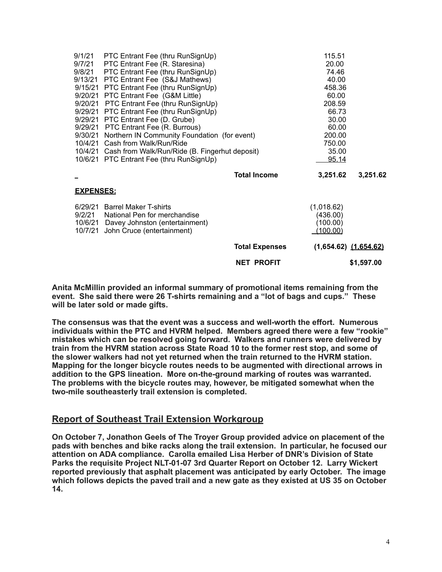|                   |                                                                                                                                       | <b>NET PROFIT</b>     |                                                | \$1,597.00                |
|-------------------|---------------------------------------------------------------------------------------------------------------------------------------|-----------------------|------------------------------------------------|---------------------------|
|                   |                                                                                                                                       | <b>Total Expenses</b> |                                                | $(1,654.62)$ $(1,654.62)$ |
| 9/2/21<br>10/6/21 | 6/29/21 Barrel Maker T-shirts<br>National Pen for merchandise<br>Davey Johnston (entertainment)<br>10/7/21 John Cruce (entertainment) |                       | (1,018.62)<br>(436.00)<br>(100.00)<br>(100.00) |                           |
| <u>EXPENSES:</u>  |                                                                                                                                       |                       |                                                |                           |
|                   |                                                                                                                                       | <b>Total Income</b>   | 3,251.62                                       | 3,251.62                  |
|                   | 10/6/21 PTC Entrant Fee (thru RunSignUp)                                                                                              |                       | <u>95.14</u>                                   |                           |
|                   | 10/4/21 Cash from Walk/Run/Ride<br>10/4/21 Cash from Walk/Run/Ride (B. Fingerhut deposit)                                             |                       | 750.00<br>35.00                                |                           |
|                   | 9/30/21 Northern IN Community Foundation (for event)                                                                                  |                       | 200.00                                         |                           |
|                   | 9/29/21 PTC Entrant Fee (R. Burrous)                                                                                                  |                       | 60.00                                          |                           |
|                   | 9/29/21 PTC Entrant Fee (D. Grube)                                                                                                    |                       | 30.00                                          |                           |
|                   | 9/20/21 PTC Entrant Fee (thru RunSignUp)<br>9/29/21 PTC Entrant Fee (thru RunSignUp)                                                  |                       | 208.59<br>66.73                                |                           |
|                   | 9/20/21 PTC Entrant Fee (G&M Little)                                                                                                  |                       | 60.00                                          |                           |
|                   | 9/15/21 PTC Entrant Fee (thru RunSignUp)                                                                                              |                       | 458.36                                         |                           |
|                   | 9/13/21 PTC Entrant Fee (S&J Mathews)                                                                                                 |                       | 40.00                                          |                           |
|                   | 9/8/21 PTC Entrant Fee (thru RunSignUp)                                                                                               |                       | 74.46                                          |                           |
|                   | 9/7/21 PTC Entrant Fee (R. Staresina)                                                                                                 |                       | 20.00                                          |                           |
|                   | 9/1/21 PTC Entrant Fee (thru RunSignUp)                                                                                               |                       | 115.51                                         |                           |

**Anita McMillin provided an informal summary of promotional items remaining from the event. She said there were 26 T-shirts remaining and a "lot of bags and cups." These will be later sold or made gifts.** 

**The consensus was that the event was a success and well-worth the effort. Numerous individuals within the PTC and HVRM helped. Members agreed there were a few "rookie" mistakes which can be resolved going forward. Walkers and runners were delivered by train from the HVRM station across State Road 10 to the former rest stop, and some of the slower walkers had not yet returned when the train returned to the HVRM station. Mapping for the longer bicycle routes needs to be augmented with directional arrows in addition to the GPS lineation. More on-the-ground marking of routes was warranted. The problems with the bicycle routes may, however, be mitigated somewhat when the two-mile southeasterly trail extension is completed.** 

## **Report of Southeast Trail Extension Workgroup**

**On October 7, Jonathon Geels of The Troyer Group provided advice on placement of the pads with benches and bike racks along the trail extension. In particular, he focused our attention on ADA compliance. Carolla emailed Lisa Herber of DNR's Division of State Parks the requisite Project NLT-01-07 3rd Quarter Report on October 12. Larry Wickert reported previously that asphalt placement was anticipated by early October. The image which follows depicts the paved trail and a new gate as they existed at US 35 on October 14.**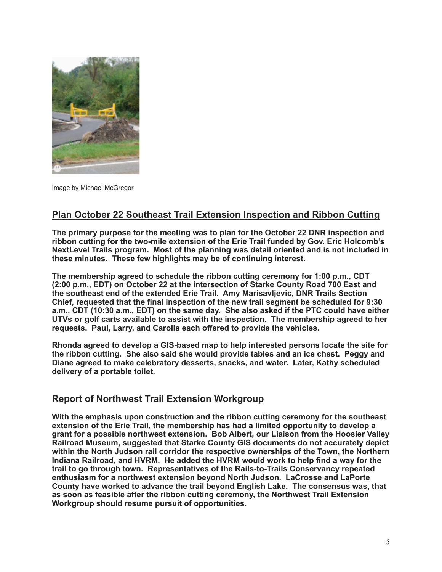

Image by Michael McGregor

## **Plan October 22 Southeast Trail Extension Inspection and Ribbon Cutting**

**The primary purpose for the meeting was to plan for the October 22 DNR inspection and ribbon cutting for the two-mile extension of the Erie Trail funded by Gov. Eric Holcomb's NextLevel Trails program. Most of the planning was detail oriented and is not included in these minutes. These few highlights may be of continuing interest.** 

**The membership agreed to schedule the ribbon cutting ceremony for 1:00 p.m., CDT (2:00 p.m., EDT) on October 22 at the intersection of Starke County Road 700 East and the southeast end of the extended Erie Trail. Amy Marisavljevic, DNR Trails Section Chief, requested that the final inspection of the new trail segment be scheduled for 9:30 a.m., CDT (10:30 a.m., EDT) on the same day. She also asked if the PTC could have either UTVs or golf carts available to assist with the inspection. The membership agreed to her requests. Paul, Larry, and Carolla each offered to provide the vehicles.** 

**Rhonda agreed to develop a GIS-based map to help interested persons locate the site for the ribbon cutting. She also said she would provide tables and an ice chest. Peggy and Diane agreed to make celebratory desserts, snacks, and water. Later, Kathy scheduled delivery of a portable toilet.** 

## **Report of Northwest Trail Extension Workgroup**

**With the emphasis upon construction and the ribbon cutting ceremony for the southeast extension of the Erie Trail, the membership has had a limited opportunity to develop a grant for a possible northwest extension. Bob Albert, our Liaison from the Hoosier Valley Railroad Museum, suggested that Starke County GIS documents do not accurately depict within the North Judson rail corridor the respective ownerships of the Town, the Northern Indiana Railroad, and HVRM. He added the HVRM would work to help find a way for the trail to go through town. Representatives of the Rails-to-Trails Conservancy repeated enthusiasm for a northwest extension beyond North Judson. LaCrosse and LaPorte County have worked to advance the trail beyond English Lake. The consensus was, that as soon as feasible after the ribbon cutting ceremony, the Northwest Trail Extension Workgroup should resume pursuit of opportunities.**